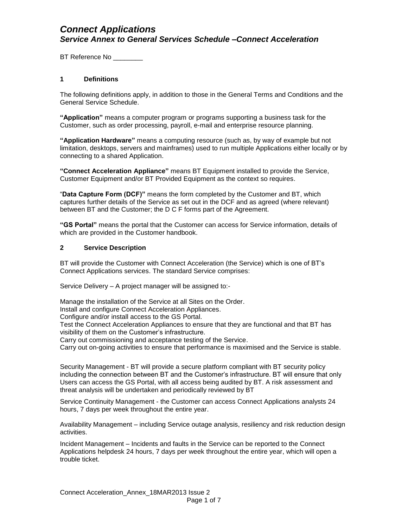BT Reference No \_\_\_\_\_\_\_\_\_

#### **1 Definitions**

The following definitions apply, in addition to those in the General Terms and Conditions and the General Service Schedule.

**"Application"** means a computer program or programs supporting a business task for the Customer, such as order processing, payroll, e-mail and enterprise resource planning.

**"Application Hardware"** means a computing resource (such as, by way of example but not limitation, desktops, servers and mainframes) used to run multiple Applications either locally or by connecting to a shared Application.

**"Connect Acceleration Appliance"** means BT Equipment installed to provide the Service, Customer Equipment and/or BT Provided Equipment as the context so requires.

"**Data Capture Form (DCF)"** means the form completed by the Customer and BT, which captures further details of the Service as set out in the DCF and as agreed (where relevant) between BT and the Customer; the D C F forms part of the Agreement.

**"GS Portal"** means the portal that the Customer can access for Service information, details of which are provided in the Customer handbook.

#### **2 Service Description**

BT will provide the Customer with Connect Acceleration (the Service) which is one of BT's Connect Applications services. The standard Service comprises:

Service Delivery – A project manager will be assigned to:-

Manage the installation of the Service at all Sites on the Order. Install and configure Connect Acceleration Appliances. Configure and/or install access to the GS Portal. Test the Connect Acceleration Appliances to ensure that they are functional and that BT has visibility of them on the Customer's infrastructure. Carry out commissioning and acceptance testing of the Service. Carry out on-going activities to ensure that performance is maximised and the Service is stable.

Security Management - BT will provide a secure platform compliant with BT security policy including the connection between BT and the Customer's infrastructure. BT will ensure that only Users can access the GS Portal, with all access being audited by BT. A risk assessment and threat analysis will be undertaken and periodically reviewed by BT

Service Continuity Management - the Customer can access Connect Applications analysts 24 hours, 7 days per week throughout the entire year.

Availability Management – including Service outage analysis, resiliency and risk reduction design activities.

Incident Management – Incidents and faults in the Service can be reported to the Connect Applications helpdesk 24 hours, 7 days per week throughout the entire year, which will open a trouble ticket.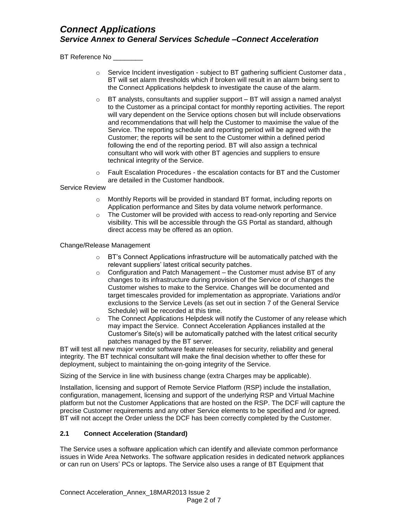BT Reference No \_\_\_\_\_\_\_\_

- $\circ$  Service Incident investigation subject to BT gathering sufficient Customer data, BT will set alarm thresholds which if broken will result in an alarm being sent to the Connect Applications helpdesk to investigate the cause of the alarm.
- o BT analysts, consultants and supplier support BT will assign a named analyst to the Customer as a principal contact for monthly reporting activities. The report will vary dependent on the Service options chosen but will include observations and recommendations that will help the Customer to maximise the value of the Service. The reporting schedule and reporting period will be agreed with the Customer; the reports will be sent to the Customer within a defined period following the end of the reporting period. BT will also assign a technical consultant who will work with other BT agencies and suppliers to ensure technical integrity of the Service.
- o Fault Escalation Procedures the escalation contacts for BT and the Customer are detailed in the Customer handbook.

Service Review

- o Monthly Reports will be provided in standard BT format, including reports on Application performance and Sites by data volume network performance.
- o The Customer will be provided with access to read-only reporting and Service visibility. This will be accessible through the GS Portal as standard, although direct access may be offered as an option.

Change/Release Management

- $\circ$  BT's Connect Applications infrastructure will be automatically patched with the relevant suppliers' latest critical security patches.
- $\circ$  Configuration and Patch Management the Customer must advise BT of any changes to its infrastructure during provision of the Service or of changes the Customer wishes to make to the Service. Changes will be documented and target timescales provided for implementation as appropriate. Variations and/or exclusions to the Service Levels (as set out in section 7 of the General Service Schedule) will be recorded at this time.
- $\circ$  The Connect Applications Helpdesk will notify the Customer of any release which may impact the Service. Connect Acceleration Appliances installed at the Customer's Site(s) will be automatically patched with the latest critical security patches managed by the BT server.

BT will test all new major vendor software feature releases for security, reliability and general integrity. The BT technical consultant will make the final decision whether to offer these for deployment, subject to maintaining the on-going integrity of the Service.

Sizing of the Service in line with business change (extra Charges may be applicable).

Installation, licensing and support of Remote Service Platform (RSP) include the installation, configuration, management, licensing and support of the underlying RSP and Virtual Machine platform but not the Customer Applications that are hosted on the RSP. The DCF will capture the precise Customer requirements and any other Service elements to be specified and /or agreed. BT will not accept the Order unless the DCF has been correctly completed by the Customer.

### **2.1 Connect Acceleration (Standard)**

The Service uses a software application which can identify and alleviate common performance issues in Wide Area Networks. The software application resides in dedicated network appliances or can run on Users' PCs or laptops. The Service also uses a range of BT Equipment that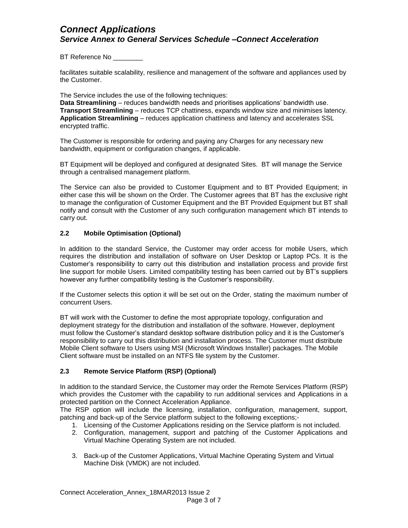BT Reference No \_\_\_\_\_\_\_\_

facilitates suitable scalability, resilience and management of the software and appliances used by the Customer.

The Service includes the use of the following techniques:

**Data Streamlining** – reduces bandwidth needs and prioritises applications' bandwidth use. **Transport Streamlining** – reduces TCP chattiness, expands window size and minimises latency. **Application Streamlining** – reduces application chattiness and latency and accelerates SSL encrypted traffic.

The Customer is responsible for ordering and paying any Charges for any necessary new bandwidth, equipment or configuration changes, if applicable.

BT Equipment will be deployed and configured at designated Sites. BT will manage the Service through a centralised management platform.

The Service can also be provided to Customer Equipment and to BT Provided Equipment; in either case this will be shown on the Order. The Customer agrees that BT has the exclusive right to manage the configuration of Customer Equipment and the BT Provided Equipment but BT shall notify and consult with the Customer of any such configuration management which BT intends to carry out.

### **2.2 Mobile Optimisation (Optional)**

In addition to the standard Service, the Customer may order access for mobile Users, which requires the distribution and installation of software on User Desktop or Laptop PCs. It is the Customer's responsibility to carry out this distribution and installation process and provide first line support for mobile Users. Limited compatibility testing has been carried out by BT's suppliers however any further compatibility testing is the Customer's responsibility.

If the Customer selects this option it will be set out on the Order, stating the maximum number of concurrent Users.

BT will work with the Customer to define the most appropriate topology, configuration and deployment strategy for the distribution and installation of the software. However, deployment must follow the Customer's standard desktop software distribution policy and it is the Customer's responsibility to carry out this distribution and installation process. The Customer must distribute Mobile Client software to Users using MSI (Microsoft Windows Installer) packages*.* The Mobile Client software must be installed on an NTFS file system by the Customer.

### **2.3 Remote Service Platform (RSP) (Optional)**

In addition to the standard Service, the Customer may order the Remote Services Platform (RSP) which provides the Customer with the capability to run additional services and Applications in a protected partition on the Connect Acceleration Appliance.

The RSP option will include the licensing, installation, configuration, management, support, patching and back-up of the Service platform subject to the following exceptions;-

- 1. Licensing of the Customer Applications residing on the Service platform is not included.
- 2. Configuration, management, support and patching of the Customer Applications and Virtual Machine Operating System are not included.
- 3. Back-up of the Customer Applications, Virtual Machine Operating System and Virtual Machine Disk (VMDK) are not included.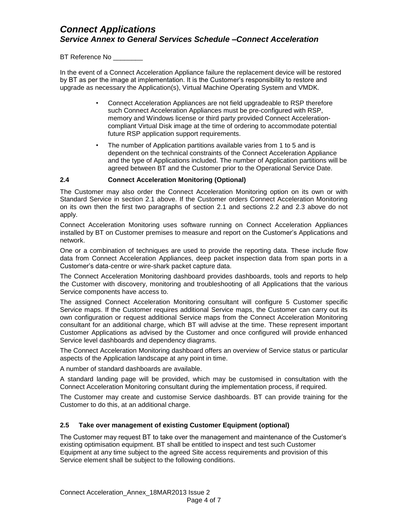BT Reference No \_\_\_\_\_

In the event of a Connect Acceleration Appliance failure the replacement device will be restored by BT as per the image at implementation. It is the Customer's responsibility to restore and upgrade as necessary the Application(s), Virtual Machine Operating System and VMDK.

- Connect Acceleration Appliances are not field upgradeable to RSP therefore such Connect Acceleration Appliances must be pre-configured with RSP, memory and Windows license or third party provided Connect Accelerationcompliant Virtual Disk image at the time of ordering to accommodate potential future RSP application support requirements.
- The number of Application partitions available varies from 1 to 5 and is dependent on the technical constraints of the Connect Acceleration Appliance and the type of Applications included. The number of Application partitions will be agreed between BT and the Customer prior to the Operational Service Date.

### **2.4 Connect Acceleration Monitoring (Optional)**

The Customer may also order the Connect Acceleration Monitoring option on its own or with Standard Service in section 2.1 above. If the Customer orders Connect Acceleration Monitoring on its own then the first two paragraphs of section 2.1 and sections 2.2 and 2.3 above do not apply.

Connect Acceleration Monitoring uses software running on Connect Acceleration Appliances installed by BT on Customer premises to measure and report on the Customer's Applications and network.

One or a combination of techniques are used to provide the reporting data. These include flow data from Connect Acceleration Appliances, deep packet inspection data from span ports in a Customer's data-centre or wire-shark packet capture data.

The Connect Acceleration Monitoring dashboard provides dashboards, tools and reports to help the Customer with discovery, monitoring and troubleshooting of all Applications that the various Service components have access to.

The assigned Connect Acceleration Monitoring consultant will configure 5 Customer specific Service maps. If the Customer requires additional Service maps, the Customer can carry out its own configuration or request additional Service maps from the Connect Acceleration Monitoring consultant for an additional charge, which BT will advise at the time. These represent important Customer Applications as advised by the Customer and once configured will provide enhanced Service level dashboards and dependency diagrams.

The Connect Acceleration Monitoring dashboard offers an overview of Service status or particular aspects of the Application landscape at any point in time.

A number of standard dashboards are available.

A standard landing page will be provided, which may be customised in consultation with the Connect Acceleration Monitoring consultant during the implementation process, if required.

The Customer may create and customise Service dashboards. BT can provide training for the Customer to do this, at an additional charge.

#### **2.5 Take over management of existing Customer Equipment (optional)**

The Customer may request BT to take over the management and maintenance of the Customer's existing optimisation equipment. BT shall be entitled to inspect and test such Customer Equipment at any time subject to the agreed Site access requirements and provision of this Service element shall be subject to the following conditions.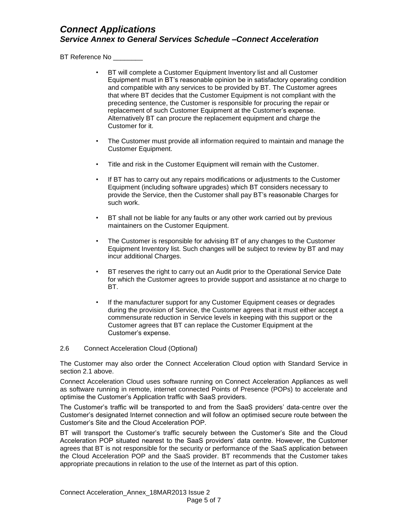BT Reference No \_\_\_\_\_\_\_\_

- BT will complete a Customer Equipment Inventory list and all Customer Equipment must in BT's reasonable opinion be in satisfactory operating condition and compatible with any services to be provided by BT. The Customer agrees that where BT decides that the Customer Equipment is not compliant with the preceding sentence, the Customer is responsible for procuring the repair or replacement of such Customer Equipment at the Customer's expense. Alternatively BT can procure the replacement equipment and charge the Customer for it.
- The Customer must provide all information required to maintain and manage the Customer Equipment.
- Title and risk in the Customer Equipment will remain with the Customer.
- If BT has to carry out any repairs modifications or adjustments to the Customer Equipment (including software upgrades) which BT considers necessary to provide the Service, then the Customer shall pay BT's reasonable Charges for such work.
- BT shall not be liable for any faults or any other work carried out by previous maintainers on the Customer Equipment.
- The Customer is responsible for advising BT of any changes to the Customer Equipment Inventory list. Such changes will be subject to review by BT and may incur additional Charges.
- BT reserves the right to carry out an Audit prior to the Operational Service Date for which the Customer agrees to provide support and assistance at no charge to BT.
- If the manufacturer support for any Customer Equipment ceases or degrades during the provision of Service, the Customer agrees that it must either accept a commensurate reduction in Service levels in keeping with this support or the Customer agrees that BT can replace the Customer Equipment at the Customer's expense.
- 2.6 Connect Acceleration Cloud (Optional)

The Customer may also order the Connect Acceleration Cloud option with Standard Service in section 2.1 above.

Connect Acceleration Cloud uses software running on Connect Acceleration Appliances as well as software running in remote, internet connected Points of Presence (POPs) to accelerate and optimise the Customer's Application traffic with SaaS providers.

The Customer's traffic will be transported to and from the SaaS providers' data-centre over the Customer's designated Internet connection and will follow an optimised secure route between the Customer's Site and the Cloud Acceleration POP.

BT will transport the Customer's traffic securely between the Customer's Site and the Cloud Acceleration POP situated nearest to the SaaS providers' data centre. However, the Customer agrees that BT is not responsible for the security or performance of the SaaS application between the Cloud Acceleration POP and the SaaS provider. BT recommends that the Customer takes appropriate precautions in relation to the use of the Internet as part of this option.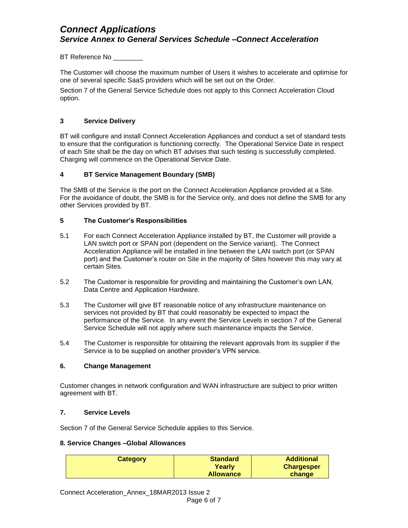BT Reference No \_\_\_\_\_\_\_

The Customer will choose the maximum number of Users it wishes to accelerate and optimise for one of several specific SaaS providers which will be set out on the Order.

Section 7 of the General Service Schedule does not apply to this Connect Acceleration Cloud option.

### **3 Service Delivery**

BT will configure and install Connect Acceleration Appliances and conduct a set of standard tests to ensure that the configuration is functioning correctly. The Operational Service Date in respect of each Site shall be the day on which BT advises that such testing is successfully completed. Charging will commence on the Operational Service Date.

### **4 BT Service Management Boundary (SMB)**

The SMB of the Service is the port on the Connect Acceleration Appliance provided at a Site. For the avoidance of doubt, the SMB is for the Service only, and does not define the SMB for any other Services provided by BT.

### **5 The Customer's Responsibilities**

- 5.1 For each Connect Acceleration Appliance installed by BT, the Customer will provide a LAN switch port or SPAN port (dependent on the Service variant). The Connect Acceleration Appliance will be installed in line between the LAN switch port (or SPAN port) and the Customer's router on Site in the majority of Sites however this may vary at certain Sites*.*
- 5.2 The Customer is responsible for providing and maintaining the Customer's own LAN, Data Centre and Application Hardware.
- 5.3 The Customer will give BT reasonable notice of any infrastructure maintenance on services not provided by BT that could reasonably be expected to impact the performance of the Service. In any event the Service Levels in section 7 of the General Service Schedule will not apply where such maintenance impacts the Service.
- 5.4 The Customer is responsible for obtaining the relevant approvals from its supplier if the Service is to be supplied on another provider's VPN service.

### **6. Change Management**

Customer changes in network configuration and WAN infrastructure are subject to prior written agreement with BT.

### **7. Service Levels**

Section 7 of the General Service Schedule applies to this Service.

### **8. Service Changes –Global Allowances**

| <b>Category</b> | <b>Standard</b><br>Yearlv | <b>Additional</b><br><b>Chargesper</b> |
|-----------------|---------------------------|----------------------------------------|
|                 | <b>Allowance</b>          | change                                 |